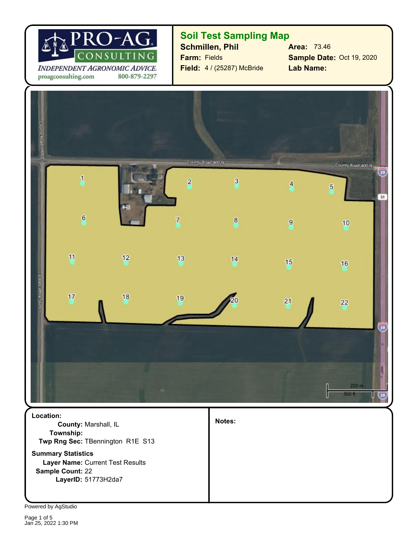

INDEPENDENT AGRONOMIC ADVICE. 800-879-2297 proagconsulting.com

### **Soil Test Sampling Map**

**Schmillen, Phil Area:** 73.46 **Farm:** Fields **Field:** 4 / (25287) McBride

**Sample Date:** Oct 19, 2020 **Lab Name:**



**Sample Count:** 22 **Layer Name:** Current Test Results **Summary Statistics Twp Rng Sec:** TBennington R1E S13 **County:** Marshall, IL **Location: Township:**

**LayerID:** 51773H2da7

**Notes:**

Powered by AgStudio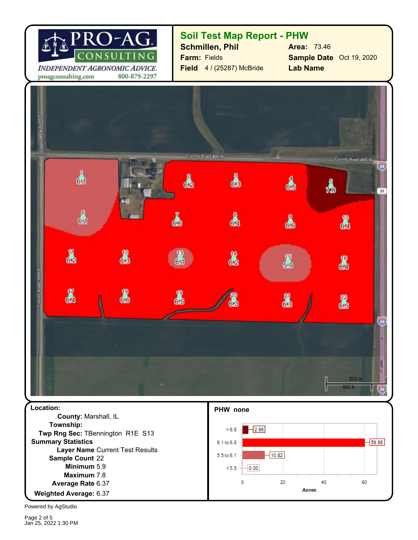

#### **Soil Test Map Report - PHW**

**Field** 4 / (25287) McBride **Farm:** Fields **Schmillen, Phil**

**Sample Date** Oct 19, 2020 **Lab Name Area:** 73.46

 $-59.98$ 

60



6.1 to 6.8

5.5 to 6.1  $< 5.5$ 

 $-10.82$ 

20

40

**Acres** 

 $0.00$ 

0

5.9 **Minimum** 6.37 **Weighted Average:** 6.37 **Average Rate Maximum** 7.8 Sample Count 22 **Layer Name** Current Test Results **Summary Statistics Twp Rng Sec:** TBennington R1E S13

Powered by AgStudio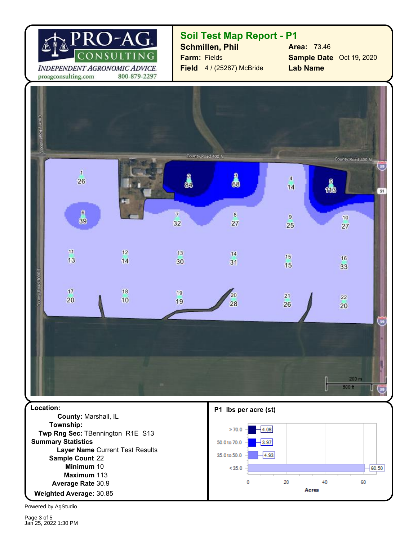

### **Soil Test Map Report - P1**

**Field** 4 / (25287) McBride **Farm:** Fields **Schmillen, Phil**

**Sample Date** Oct 19, 2020 **Lab Name Area:** 73.46

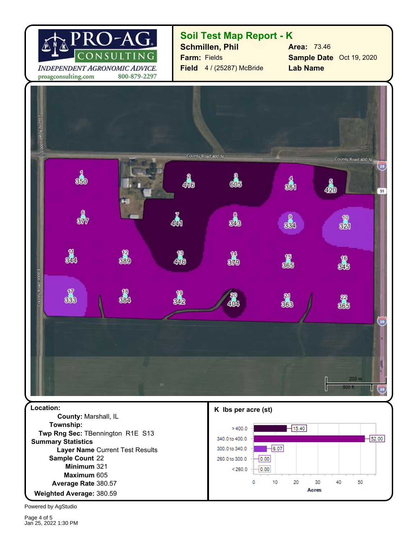

## **Soil Test Map Report - K**

**Field** 4 / (25287) McBride **Farm:** Fields **Schmillen, Phil**

**Sample Date** Oct 19, 2020 **Lab Name Area:** 73.46



Powered by AgStudio